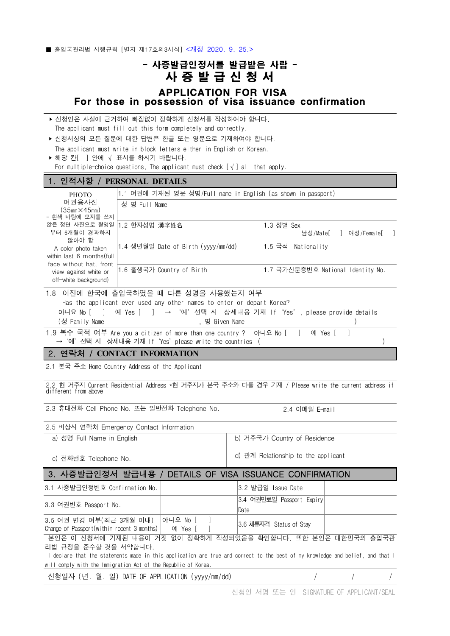■ 출입국관리법 시행규칙 [별지 제17호의3서식] <개정 2020, 9, 25.>

## - 사증발급인정서를 발급받은 사람 - 3<sub>서식] <개정 2020. 9. 25.></sub><br>- 아이저 - 이 2020. 9. 25.><br>- 아이저 - 이 그 사람 - 아이저 - 이 이 시<br>- All Contrious - OR VISA<br>- Persion of vise issuares, confirmation<br>- Persion of vise issuares, confirmation APPLICATION FOR VISA For those in possession of visa issuance confirmation

| ▶ 신청인은 사실에 근거하여 빠짐없이 정확하게 신청서를 작성하여야 합니다.                       |  |
|-----------------------------------------------------------------|--|
| The applicant must fill out this form completely and correctly. |  |

‣ 신청서상의 모든 질문에 대한 답변은 한글 또는 영문으로 기재하여야 합니다.

|                               |  | The applicant must write in block letters either in English or Korean. |  |
|-------------------------------|--|------------------------------------------------------------------------|--|
| ▶ 해당 칸   ] 안에 √ 표시를 하시기 바랍니다. |  |                                                                        |  |

For multiple-choice questions, The applicant must check  $[\sqrt{}]$  all that apply.

## 1. 인적사항 / **PERSONAL DETAILS**

| <b>PHOTO</b>                                                                                                                                                              | 1.1 여권에 기재된 영문 성명/Full name in English (as shown in passport)                                                                                                                    |                                     |  |  |  |
|---------------------------------------------------------------------------------------------------------------------------------------------------------------------------|----------------------------------------------------------------------------------------------------------------------------------------------------------------------------------|-------------------------------------|--|--|--|
| 여권용사진<br>(35mm×45mm)<br>- 흰색 바탕에 모자를 쓰지                                                                                                                                   | 성 명 Full Name                                                                                                                                                                    |                                     |  |  |  |
| 않은 정면 사진으로 촬영일<br>부터 6개월이 경과하지<br>않아야 함<br>A color photo taken<br>within last 6 months (full<br>face without hat, front<br>view against white or<br>off-white background) | 1.2 한자성명 漢字姓名                                                                                                                                                                    | 1.3 성별 Sex<br>남성/Male[ ㅣ 여성/Female[ |  |  |  |
|                                                                                                                                                                           | 1.4 생년월일 Date of Birth (yyyy/mm/dd)                                                                                                                                              | 1.5 국적 Nationalitv                  |  |  |  |
|                                                                                                                                                                           | 1.6 출생국가 Country of Birth                                                                                                                                                        | 1.7 국가신분증번호 National Identity No.   |  |  |  |
| 아니요 No [                                                                                                                                                                  | 1.8 이전에 한국에 출입국하였을 때 다른 성명을 사용했는지 여부<br>Has the applicant ever used any other names to enter or depart Korea?<br>예 Yes [   ]   → '예'선택 시 상세내용 기재 lf'Yes', please provide details |                                     |  |  |  |

(성 Family Name ), 명 Given Name

1.9 복수 국적 여부 Are you a citizen of more than one country ? 아니요 No [ ] 예 Yes [<br>→ '예'선택 시 상세내용 기재 If'Yes'please write the countries (

## 2. 연락처 / **CONTACT INFORMATION**

2.1 본국 주소 Home Country Address of the Applicant

2.2 현 거주지 Current Residential Address \*현 거주지가 본국 주소와 다를 경우 기재 / Please write the current address if different from above

2.3 휴대전화 Cell Phone No. 또는 일반전화 Telephone No. 2.4 이메일 E-mail

| 2.5 비상시 연락처 Emergency Contact Information |                                     |
|-------------------------------------------|-------------------------------------|
| a) 성명 Full Name in English                | b) 거주국가 Country of Residence        |
| c) 전화번호 Telephone No.                     | d) 관계 Relationship to the applicant |

## 3. 사증발급인정서 발급내용 / DETAILS OF VISA ISSUANCE CONFIRMATION

| 3.1 사증발급인정번호 Confirmation No.                                                                                                |                | 3.2 발급일 Issue Date                |  |  |
|------------------------------------------------------------------------------------------------------------------------------|----------------|-----------------------------------|--|--|
| 3.3 여권번호 Passport No.                                                                                                        |                | 3.4 여권만료일 Passport Expiry<br>Date |  |  |
| 3.5 여권 변경 여부(최근 3개월 이내)<br>Change of Passport (within recent 3 months) $\vert$ oil Yes $\vert$ ]                             | 아니요 No [     ] | 3.6 체류자격 Status of Stay           |  |  |
| 본인은 이 신청서에 기재된 내용이 거짓 없이 정확하게 작성되었음을 확인합니다. 또한 본인은 대한민국의 출입국관                                                                |                |                                   |  |  |
| 리법 규정을 준수할 것을 서약합니다.                                                                                                         |                |                                   |  |  |
| declare that the statements made in this application are true and correct to the best of my knowledge and belief, and that I |                |                                   |  |  |
| will comply with the Immigration Act of the Republic of Korea.                                                               |                |                                   |  |  |
|                                                                                                                              |                |                                   |  |  |

신청일자 (년. 월. 일) DATE OF APPLICATION (yyyy/mm/dd) / / /

신청인 서명 또는 인 SIGNATURE OF APPLICANT/SEAL